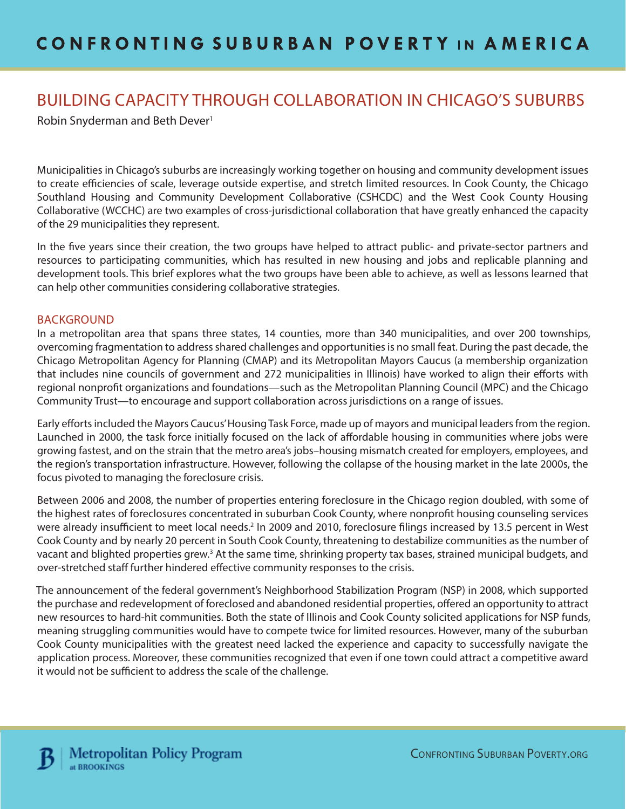# BUILDING CAPACITY THROUGH COLLABORATION IN CHICAGO'S SUBURBS

Robin Snyderman and Beth Dever<sup>1</sup>

Municipalities in Chicago's suburbs are increasingly working together on housing and community development issues to create efficiencies of scale, leverage outside expertise, and stretch limited resources. In Cook County, the Chicago Southland Housing and Community Development Collaborative (CSHCDC) and the West Cook County Housing Collaborative (WCCHC) are two examples of cross-jurisdictional collaboration that have greatly enhanced the capacity of the 29 municipalities they represent.

In the five years since their creation, the two groups have helped to attract public- and private-sector partners and resources to participating communities, which has resulted in new housing and jobs and replicable planning and development tools. This brief explores what the two groups have been able to achieve, as well as lessons learned that can help other communities considering collaborative strategies.

#### BACKGROUND

In a metropolitan area that spans three states, 14 counties, more than 340 municipalities, and over 200 townships, overcoming fragmentation to address shared challenges and opportunities is no small feat. During the past decade, the Chicago Metropolitan Agency for Planning (CMAP) and its Metropolitan Mayors Caucus (a membership organization that includes nine councils of government and 272 municipalities in Illinois) have worked to align their efforts with regional nonprofit organizations and foundations—such as the Metropolitan Planning Council (MPC) and the Chicago Community Trust—to encourage and support collaboration across jurisdictions on a range of issues.

Early efforts included the Mayors Caucus' Housing Task Force, made up of mayors and municipal leaders from the region. Launched in 2000, the task force initially focused on the lack of affordable housing in communities where jobs were growing fastest, and on the strain that the metro area's jobs–housing mismatch created for employers, employees, and the region's transportation infrastructure. However, following the collapse of the housing market in the late 2000s, the focus pivoted to managing the foreclosure crisis.

Between 2006 and 2008, the number of properties entering foreclosure in the Chicago region doubled, with some of the highest rates of foreclosures concentrated in suburban Cook County, where nonprofit housing counseling services were already insufficient to meet local needs.<sup>2</sup> In 2009 and 2010, foreclosure filings increased by 13.5 percent in West Cook County and by nearly 20 percent in South Cook County, threatening to destabilize communities as the number of vacant and blighted properties grew.<sup>3</sup> At the same time, shrinking property tax bases, strained municipal budgets, and over-stretched staff further hindered effective community responses to the crisis.

The announcement of the federal government's Neighborhood Stabilization Program (NSP) in 2008, which supported the purchase and redevelopment of foreclosed and abandoned residential properties, offered an opportunity to attract new resources to hard-hit communities. Both the state of Illinois and Cook County solicited applications for NSP funds, meaning struggling communities would have to compete twice for limited resources. However, many of the suburban Cook County municipalities with the greatest need lacked the experience and capacity to successfully navigate the application process. Moreover, these communities recognized that even if one town could attract a competitive award it would not be sufficient to address the scale of the challenge.

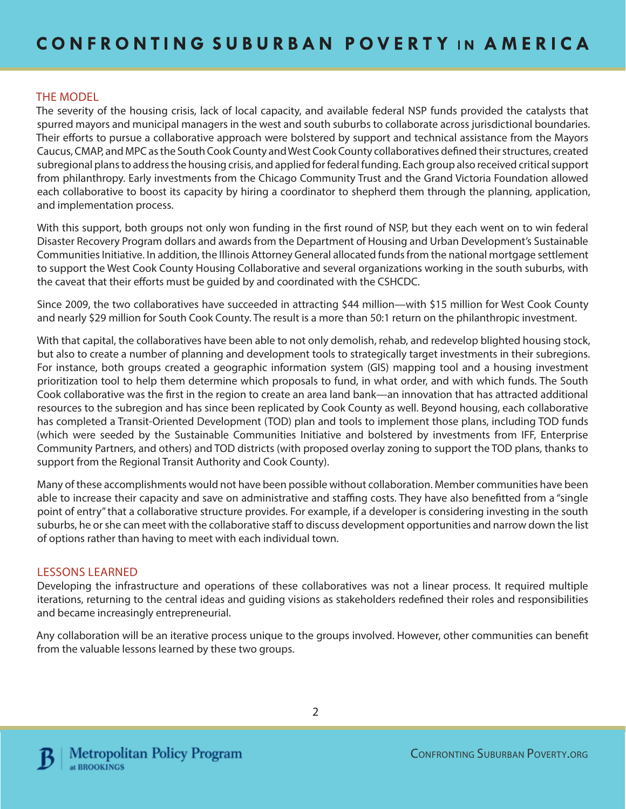### THE MODEL

The severity of the housing crisis, lack of local capacity, and available federal NSP funds provided the catalysts that spurred mayors and municipal managers in the west and south suburbs to collaborate across jurisdictional boundaries. Their efforts to pursue a collaborative approach were bolstered by support and technical assistance from the Mayors Caucus, CMAP, and MPC as the South Cook County and West Cook County collaboratives defined their structures, created subregional plans to address the housing crisis, and applied for federal funding. Each group also received critical support from philanthropy. Early investments from the Chicago Community Trust and the Grand Victoria Foundation allowed each collaborative to boost its capacity by hiring a coordinator to shepherd them through the planning, application, and implementation process.

With this support, both groups not only won funding in the first round of NSP, but they each went on to win federal Disaster Recovery Program dollars and awards from the Department of Housing and Urban Development's Sustainable Communities Initiative. In addition, the Illinois Attorney General allocated funds from the national mortgage settlement to support the West Cook County Housing Collaborative and several organizations working in the south suburbs, with the caveat that their efforts must be guided by and coordinated with the CSHCDC.

Since 2009, the two collaboratives have succeeded in attracting \$44 million—with \$15 million for West Cook County and nearly \$29 million for South Cook County. The result is a more than 50:1 return on the philanthropic investment.

With that capital, the collaboratives have been able to not only demolish, rehab, and redevelop blighted housing stock, but also to create a number of planning and development tools to strategically target investments in their subregions. For instance, both groups created a geographic information system (GIS) mapping tool and a housing investment prioritization tool to help them determine which proposals to fund, in what order, and with which funds. The South Cook collaborative was the first in the region to create an area land bank—an innovation that has attracted additional resources to the subregion and has since been replicated by Cook County as well. Beyond housing, each collaborative has completed a Transit-Oriented Development (TOD) plan and tools to implement those plans, including TOD funds (which were seeded by the Sustainable Communities Initiative and bolstered by investments from IFF, Enterprise Community Partners, and others) and TOD districts (with proposed overlay zoning to support the TOD plans, thanks to support from the Regional Transit Authority and Cook County).

Many of these accomplishments would not have been possible without collaboration. Member communities have been able to increase their capacity and save on administrative and staffing costs. They have also benefitted from a "single point of entry" that a collaborative structure provides. For example, if a developer is considering investing in the south suburbs, he or she can meet with the collaborative staff to discuss development opportunities and narrow down the list of options rather than having to meet with each individual town.

#### LESSONS LEARNED

Developing the infrastructure and operations of these collaboratives was not a linear process. It required multiple iterations, returning to the central ideas and guiding visions as stakeholders redefined their roles and responsibilities and became increasingly entrepreneurial.

Any collaboration will be an iterative process unique to the groups involved. However, other communities can benefit from the valuable lessons learned by these two groups.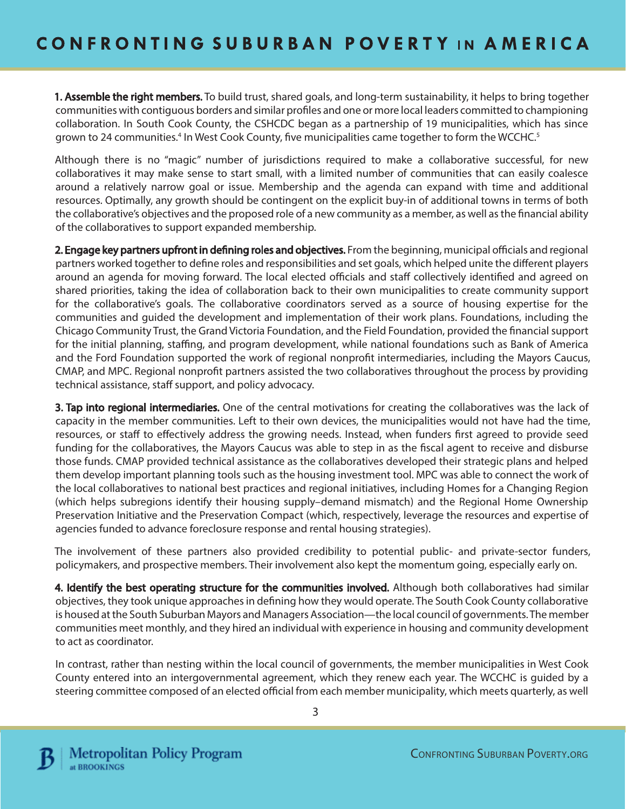**1. Assemble the right members.** To build trust, shared goals, and long-term sustainability, it helps to bring together communities with contiguous borders and similar profiles and one or more local leaders committed to championing collaboration. In South Cook County, the CSHCDC began as a partnership of 19 municipalities, which has since grown to 24 communities.<sup>4</sup> In West Cook County, five municipalities came together to form the WCCHC.<sup>5</sup>

Although there is no "magic" number of jurisdictions required to make a collaborative successful, for new collaboratives it may make sense to start small, with a limited number of communities that can easily coalesce around a relatively narrow goal or issue. Membership and the agenda can expand with time and additional resources. Optimally, any growth should be contingent on the explicit buy-in of additional towns in terms of both the collaborative's objectives and the proposed role of a new community as a member, as well as the financial ability of the collaboratives to support expanded membership.

2. Engage key partners upfront in defining roles and objectives. From the beginning, municipal officials and regional partners worked together to define roles and responsibilities and set goals, which helped unite the different players around an agenda for moving forward. The local elected officials and staff collectively identified and agreed on shared priorities, taking the idea of collaboration back to their own municipalities to create community support for the collaborative's goals. The collaborative coordinators served as a source of housing expertise for the communities and guided the development and implementation of their work plans. Foundations, including the Chicago Community Trust, the Grand Victoria Foundation, and the Field Foundation, provided the financial support for the initial planning, staffing, and program development, while national foundations such as Bank of America and the Ford Foundation supported the work of regional nonprofit intermediaries, including the Mayors Caucus, CMAP, and MPC. Regional nonprofit partners assisted the two collaboratives throughout the process by providing technical assistance, staff support, and policy advocacy.

**3. Tap into regional intermediaries.** One of the central motivations for creating the collaboratives was the lack of capacity in the member communities. Left to their own devices, the municipalities would not have had the time, resources, or staff to effectively address the growing needs. Instead, when funders first agreed to provide seed funding for the collaboratives, the Mayors Caucus was able to step in as the fiscal agent to receive and disburse those funds. CMAP provided technical assistance as the collaboratives developed their strategic plans and helped them develop important planning tools such as the housing investment tool. MPC was able to connect the work of the local collaboratives to national best practices and regional initiatives, including Homes for a Changing Region (which helps subregions identify their housing supply–demand mismatch) and the Regional Home Ownership Preservation Initiative and the Preservation Compact (which, respectively, leverage the resources and expertise of agencies funded to advance foreclosure response and rental housing strategies).

The involvement of these partners also provided credibility to potential public- and private-sector funders, policymakers, and prospective members. Their involvement also kept the momentum going, especially early on.

4. Identify the best operating structure for the communities involved. Although both collaboratives had similar objectives, they took unique approaches in defining how they would operate. The South Cook County collaborative is housed at the South Suburban Mayors and Managers Association—the local council of governments. The member communities meet monthly, and they hired an individual with experience in housing and community development to act as coordinator.

In contrast, rather than nesting within the local council of governments, the member municipalities in West Cook County entered into an intergovernmental agreement, which they renew each year. The WCCHC is guided by a steering committee composed of an elected official from each member municipality, which meets quarterly, as well

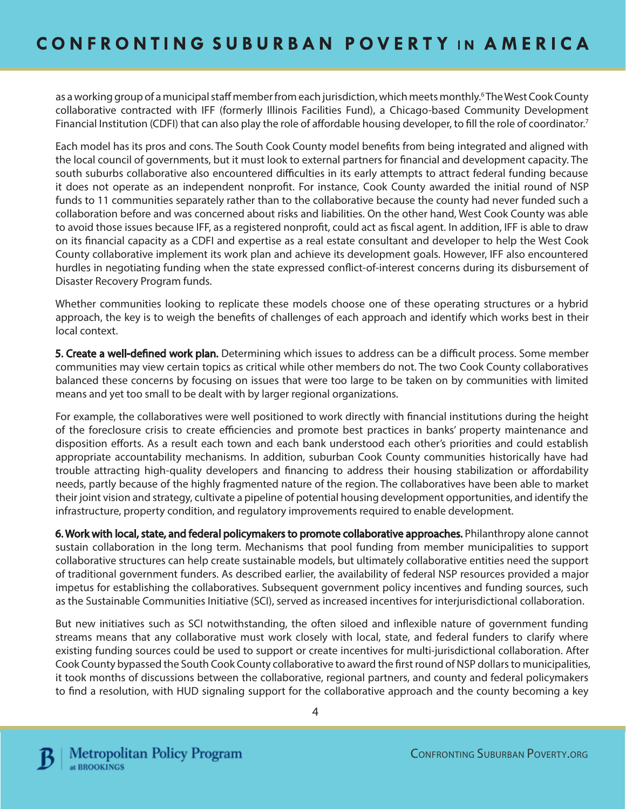as a working group of a municipal staff member from each jurisdiction, which meets monthly.<sup>6</sup>The West Cook County collaborative contracted with IFF (formerly Illinois Facilities Fund), a Chicago-based Community Development Financial Institution (CDFI) that can also play the role of affordable housing developer, to fill the role of coordinator.<sup>7</sup>

Each model has its pros and cons. The South Cook County model benefits from being integrated and aligned with the local council of governments, but it must look to external partners for financial and development capacity. The south suburbs collaborative also encountered difficulties in its early attempts to attract federal funding because it does not operate as an independent nonprofit. For instance, Cook County awarded the initial round of NSP funds to 11 communities separately rather than to the collaborative because the county had never funded such a collaboration before and was concerned about risks and liabilities. On the other hand, West Cook County was able to avoid those issues because IFF, as a registered nonprofit, could act as fiscal agent. In addition, IFF is able to draw on its financial capacity as a CDFI and expertise as a real estate consultant and developer to help the West Cook County collaborative implement its work plan and achieve its development goals. However, IFF also encountered hurdles in negotiating funding when the state expressed conflict-of-interest concerns during its disbursement of Disaster Recovery Program funds.

Whether communities looking to replicate these models choose one of these operating structures or a hybrid approach, the key is to weigh the benefits of challenges of each approach and identify which works best in their local context.

5. Create a well-defined work plan. Determining which issues to address can be a difficult process. Some member communities may view certain topics as critical while other members do not. The two Cook County collaboratives balanced these concerns by focusing on issues that were too large to be taken on by communities with limited means and yet too small to be dealt with by larger regional organizations.

For example, the collaboratives were well positioned to work directly with financial institutions during the height of the foreclosure crisis to create efficiencies and promote best practices in banks' property maintenance and disposition efforts. As a result each town and each bank understood each other's priorities and could establish appropriate accountability mechanisms. In addition, suburban Cook County communities historically have had trouble attracting high-quality developers and financing to address their housing stabilization or affordability needs, partly because of the highly fragmented nature of the region. The collaboratives have been able to market their joint vision and strategy, cultivate a pipeline of potential housing development opportunities, and identify the infrastructure, property condition, and regulatory improvements required to enable development.

6. Work with local, state, and federal policymakers to promote collaborative approaches. Philanthropy alone cannot sustain collaboration in the long term. Mechanisms that pool funding from member municipalities to support collaborative structures can help create sustainable models, but ultimately collaborative entities need the support of traditional government funders. As described earlier, the availability of federal NSP resources provided a major impetus for establishing the collaboratives. Subsequent government policy incentives and funding sources, such as the Sustainable Communities Initiative (SCI), served as increased incentives for interjurisdictional collaboration.

But new initiatives such as SCI notwithstanding, the often siloed and inflexible nature of government funding streams means that any collaborative must work closely with local, state, and federal funders to clarify where existing funding sources could be used to support or create incentives for multi-jurisdictional collaboration. After Cook County bypassed the South Cook County collaborative to award the first round of NSP dollars to municipalities, it took months of discussions between the collaborative, regional partners, and county and federal policymakers to find a resolution, with HUD signaling support for the collaborative approach and the county becoming a key



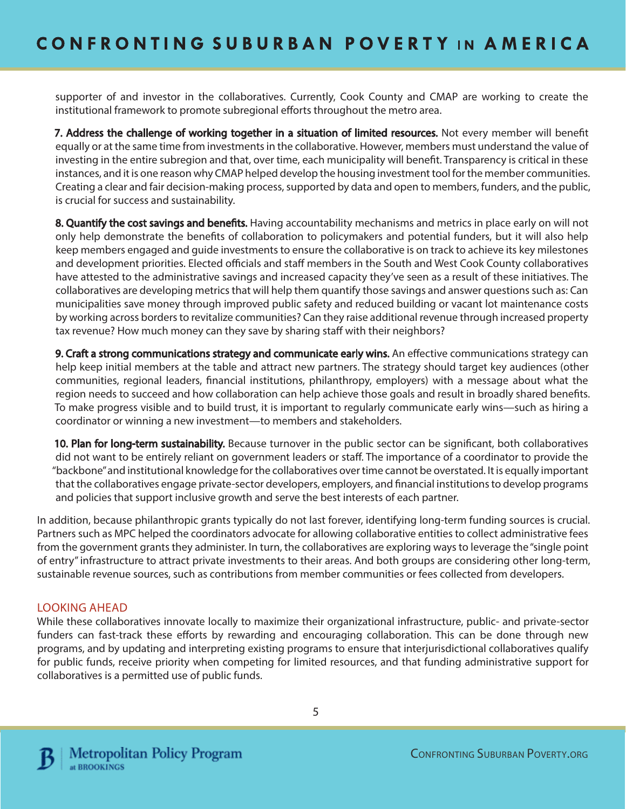supporter of and investor in the collaboratives. Currently, Cook County and CMAP are working to create the institutional framework to promote subregional efforts throughout the metro area.

7. Address the challenge of working together in a situation of limited resources. Not every member will benefit equally or at the same time from investments in the collaborative. However, members must understand the value of investing in the entire subregion and that, over time, each municipality will benefit. Transparency is critical in these instances, and it is one reason why CMAP helped develop the housing investment tool for the member communities. Creating a clear and fair decision-making process, supported by data and open to members, funders, and the public, is crucial for success and sustainability.

8. Quantify the cost savings and benefits. Having accountability mechanisms and metrics in place early on will not only help demonstrate the benefits of collaboration to policymakers and potential funders, but it will also help keep members engaged and guide investments to ensure the collaborative is on track to achieve its key milestones and development priorities. Elected officials and staff members in the South and West Cook County collaboratives have attested to the administrative savings and increased capacity they've seen as a result of these initiatives. The collaboratives are developing metrics that will help them quantify those savings and answer questions such as: Can municipalities save money through improved public safety and reduced building or vacant lot maintenance costs by working across borders to revitalize communities? Can they raise additional revenue through increased property tax revenue? How much money can they save by sharing staff with their neighbors?

9. Craft a strong communications strategy and communicate early wins. An effective communications strategy can help keep initial members at the table and attract new partners. The strategy should target key audiences (other communities, regional leaders, financial institutions, philanthropy, employers) with a message about what the region needs to succeed and how collaboration can help achieve those goals and result in broadly shared benefits. To make progress visible and to build trust, it is important to regularly communicate early wins—such as hiring a coordinator or winning a new investment—to members and stakeholders.

10. Plan for long-term sustainability. Because turnover in the public sector can be significant, both collaboratives did not want to be entirely reliant on government leaders or staff. The importance of a coordinator to provide the "backbone" and institutional knowledge for the collaboratives over time cannot be overstated. It is equally important that the collaboratives engage private-sector developers, employers, and financial institutions to develop programs and policies that support inclusive growth and serve the best interests of each partner.

In addition, because philanthropic grants typically do not last forever, identifying long-term funding sources is crucial. Partners such as MPC helped the coordinators advocate for allowing collaborative entities to collect administrative fees from the government grants they administer. In turn, the collaboratives are exploring ways to leverage the "single point of entry" infrastructure to attract private investments to their areas. And both groups are considering other long-term, sustainable revenue sources, such as contributions from member communities or fees collected from developers.

## LOOKING AHEAD

While these collaboratives innovate locally to maximize their organizational infrastructure, public- and private-sector funders can fast-track these efforts by rewarding and encouraging collaboration. This can be done through new programs, and by updating and interpreting existing programs to ensure that interjurisdictional collaboratives qualify for public funds, receive priority when competing for limited resources, and that funding administrative support for collaboratives is a permitted use of public funds.